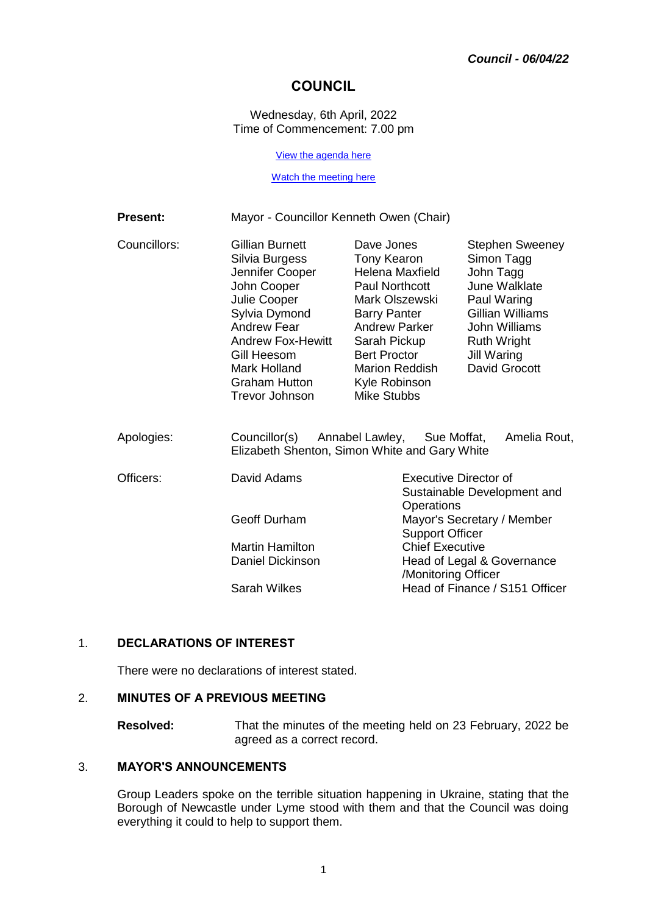## **COUNCIL**

Wednesday, 6th April, 2022 Time of Commencement: 7.00 pm

[View the agenda here](https://moderngov.newcastle-staffs.gov.uk/ieListDocuments.aspx?CId=152&MId=3406&Ver=4)

#### [Watch the meeting here](https://youtu.be/surtWw4LyLs)

| <b>Present:</b> | Mayor - Councillor Kenneth Owen (Chair)                                                                                                                                                                                  |                                                                                                                                                                                                                                 |                                                                                                                                                                                     |  |
|-----------------|--------------------------------------------------------------------------------------------------------------------------------------------------------------------------------------------------------------------------|---------------------------------------------------------------------------------------------------------------------------------------------------------------------------------------------------------------------------------|-------------------------------------------------------------------------------------------------------------------------------------------------------------------------------------|--|
| Councillors:    | Gillian Burnett<br>Silvia Burgess<br>Jennifer Cooper<br>John Cooper<br>Julie Cooper<br>Sylvia Dymond<br><b>Andrew Fear</b><br><b>Andrew Fox-Hewitt</b><br>Gill Heesom<br>Mark Holland<br>Graham Hutton<br>Trevor Johnson | Dave Jones<br>Tony Kearon<br>Helena Maxfield<br>Paul Northcott<br>Mark Olszewski<br><b>Barry Panter</b><br><b>Andrew Parker</b><br>Sarah Pickup<br><b>Bert Proctor</b><br><b>Marion Reddish</b><br>Kyle Robinson<br>Mike Stubbs | <b>Stephen Sweeney</b><br>Simon Tagg<br>John Tagg<br>June Walklate<br>Paul Waring<br>Gillian Williams<br>John Williams<br><b>Ruth Wright</b><br><b>Jill Waring</b><br>David Grocott |  |
| Apologies:      | Councillor(s)<br>Annabel Lawley, Sue Moffat,<br>Amelia Rout,<br>Elizabeth Shenton, Simon White and Gary White                                                                                                            |                                                                                                                                                                                                                                 |                                                                                                                                                                                     |  |
| Officers:       | David Adams                                                                                                                                                                                                              |                                                                                                                                                                                                                                 | <b>Executive Director of</b><br>Sustainable Development and<br>Operations                                                                                                           |  |
|                 | <b>Geoff Durham</b>                                                                                                                                                                                                      |                                                                                                                                                                                                                                 | Mayor's Secretary / Member<br><b>Support Officer</b>                                                                                                                                |  |
|                 | <b>Martin Hamilton</b>                                                                                                                                                                                                   |                                                                                                                                                                                                                                 | <b>Chief Executive</b>                                                                                                                                                              |  |
|                 | Daniel Dickinson                                                                                                                                                                                                         |                                                                                                                                                                                                                                 | Head of Legal & Governance<br>/Monitoring Officer                                                                                                                                   |  |

Sarah Wilkes **Head of Finance / S151 Officer** 

1. **DECLARATIONS OF INTEREST**

There were no declarations of interest stated.

#### 2. **MINUTES OF A PREVIOUS MEETING**

**Resolved:** That the minutes of the meeting held on 23 February, 2022 be agreed as a correct record.

## 3. **MAYOR'S ANNOUNCEMENTS**

Group Leaders spoke on the terrible situation happening in Ukraine, stating that the Borough of Newcastle under Lyme stood with them and that the Council was doing everything it could to help to support them.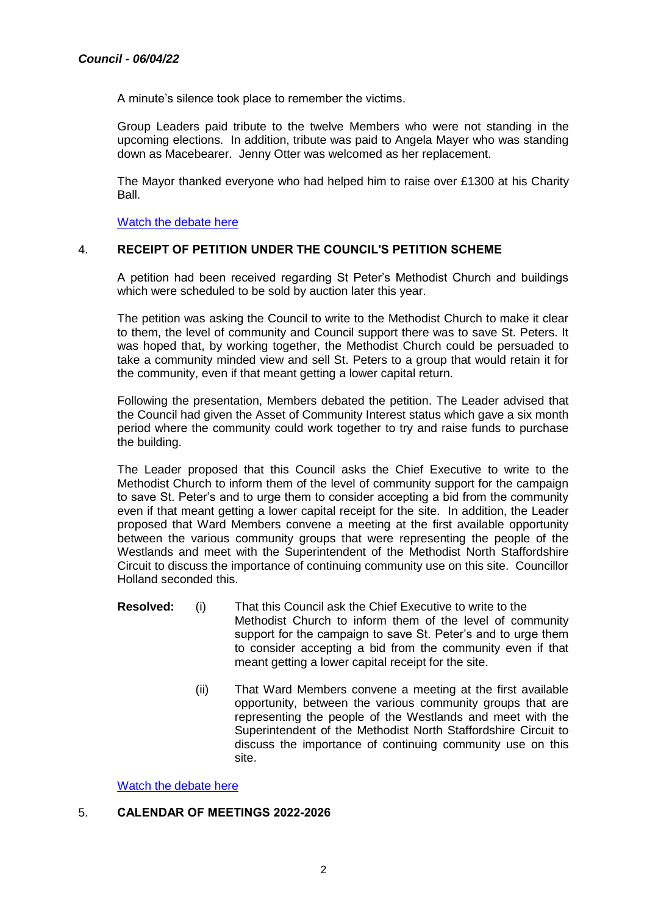A minute's silence took place to remember the victims.

Group Leaders paid tribute to the twelve Members who were not standing in the upcoming elections. In addition, tribute was paid to Angela Mayer who was standing down as Macebearer. Jenny Otter was welcomed as her replacement.

The Mayor thanked everyone who had helped him to raise over £1300 at his Charity Ball.

[Watch the debate here](https://youtu.be/surtWw4LyLs?t=833)

## 4. **RECEIPT OF PETITION UNDER THE COUNCIL'S PETITION SCHEME**

A petition had been received regarding St Peter's Methodist Church and buildings which were scheduled to be sold by auction later this year.

The petition was asking the Council to write to the Methodist Church to make it clear to them, the level of community and Council support there was to save St. Peters. It was hoped that, by working together, the Methodist Church could be persuaded to take a community minded view and sell St. Peters to a group that would retain it for the community, even if that meant getting a lower capital return.

Following the presentation, Members debated the petition. The Leader advised that the Council had given the Asset of Community Interest status which gave a six month period where the community could work together to try and raise funds to purchase the building.

The Leader proposed that this Council asks the Chief Executive to write to the Methodist Church to inform them of the level of community support for the campaign to save St. Peter's and to urge them to consider accepting a bid from the community even if that meant getting a lower capital receipt for the site. In addition, the Leader proposed that Ward Members convene a meeting at the first available opportunity between the various community groups that were representing the people of the Westlands and meet with the Superintendent of the Methodist North Staffordshire Circuit to discuss the importance of continuing community use on this site. Councillor Holland seconded this.

- **Resolved:** (i) That this Council ask the Chief Executive to write to the Methodist Church to inform them of the level of community support for the campaign to save St. Peter's and to urge them to consider accepting a bid from the community even if that meant getting a lower capital receipt for the site.
	- (ii) That Ward Members convene a meeting at the first available opportunity, between the various community groups that are representing the people of the Westlands and meet with the Superintendent of the Methodist North Staffordshire Circuit to discuss the importance of continuing community use on this site.

[Watch the debate here](https://youtu.be/surtWw4LyLs?t=2303)

## 5. **CALENDAR OF MEETINGS 2022-2026**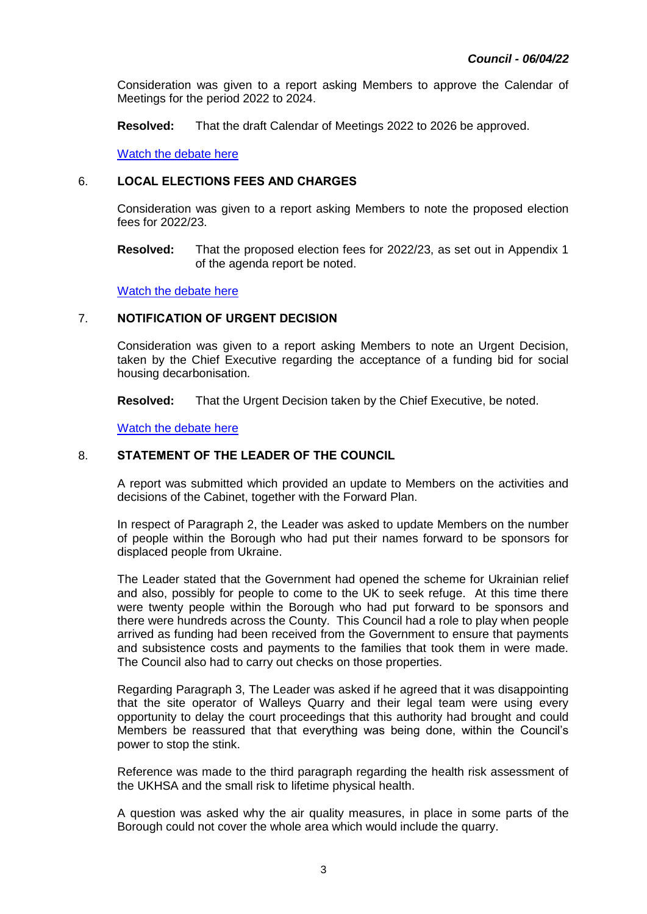Consideration was given to a report asking Members to approve the Calendar of Meetings for the period 2022 to 2024.

**Resolved:** That the draft Calendar of Meetings 2022 to 2026 be approved[.](https://youtu.be/surtWw4LyLs?t=3737)

[Watch the debate here](https://youtu.be/surtWw4LyLs?t=3737)

## 6. **LOCAL ELECTIONS FEES AND CHARGES**

Consideration was given to a report asking Members to note the proposed election fees for 2022/23.

**Resolved:** That the proposed election fees for 2022/23, as set out in Appendix 1 of the agenda report be noted.

[Watch the debate here](https://youtu.be/surtWw4LyLs?t=3905)

## 7. **NOTIFICATION OF URGENT DECISION**

Consideration was given to a report asking Members to note an Urgent Decision, taken by the Chief Executive regarding the acceptance of a funding bid for social housing decarbonisation.

**Resolved:** That the Urgent Decision taken by the Chief Executive, be noted.

[Watch the debate here](https://youtu.be/surtWw4LyLs?t=4033)

## 8. **STATEMENT OF THE LEADER OF THE COUNCIL**

A report was submitted which provided an update to Members on the activities and decisions of the Cabinet, together with the Forward Plan.

In respect of Paragraph 2, the Leader was asked to update Members on the number of people within the Borough who had put their names forward to be sponsors for displaced people from Ukraine.

The Leader stated that the Government had opened the scheme for Ukrainian relief and also, possibly for people to come to the UK to seek refuge. At this time there were twenty people within the Borough who had put forward to be sponsors and there were hundreds across the County. This Council had a role to play when people arrived as funding had been received from the Government to ensure that payments and subsistence costs and payments to the families that took them in were made. The Council also had to carry out checks on those properties.

Regarding Paragraph 3, The Leader was asked if he agreed that it was disappointing that the site operator of Walleys Quarry and their legal team were using every opportunity to delay the court proceedings that this authority had brought and could Members be reassured that that everything was being done, within the Council's power to stop the stink.

Reference was made to the third paragraph regarding the health risk assessment of the UKHSA and the small risk to lifetime physical health.

A question was asked why the air quality measures, in place in some parts of the Borough could not cover the whole area which would include the quarry.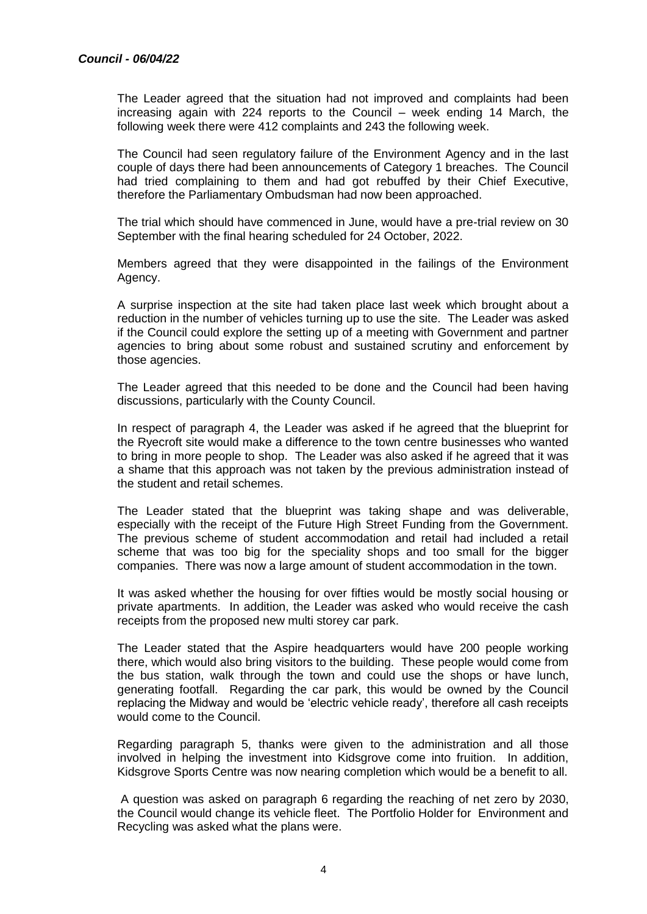The Leader agreed that the situation had not improved and complaints had been increasing again with 224 reports to the Council – week ending 14 March, the following week there were 412 complaints and 243 the following week.

The Council had seen regulatory failure of the Environment Agency and in the last couple of days there had been announcements of Category 1 breaches. The Council had tried complaining to them and had got rebuffed by their Chief Executive, therefore the Parliamentary Ombudsman had now been approached.

The trial which should have commenced in June, would have a pre-trial review on 30 September with the final hearing scheduled for 24 October, 2022.

Members agreed that they were disappointed in the failings of the Environment Agency.

A surprise inspection at the site had taken place last week which brought about a reduction in the number of vehicles turning up to use the site. The Leader was asked if the Council could explore the setting up of a meeting with Government and partner agencies to bring about some robust and sustained scrutiny and enforcement by those agencies.

The Leader agreed that this needed to be done and the Council had been having discussions, particularly with the County Council.

In respect of paragraph 4, the Leader was asked if he agreed that the blueprint for the Ryecroft site would make a difference to the town centre businesses who wanted to bring in more people to shop. The Leader was also asked if he agreed that it was a shame that this approach was not taken by the previous administration instead of the student and retail schemes.

The Leader stated that the blueprint was taking shape and was deliverable, especially with the receipt of the Future High Street Funding from the Government. The previous scheme of student accommodation and retail had included a retail scheme that was too big for the speciality shops and too small for the bigger companies. There was now a large amount of student accommodation in the town.

It was asked whether the housing for over fifties would be mostly social housing or private apartments. In addition, the Leader was asked who would receive the cash receipts from the proposed new multi storey car park.

The Leader stated that the Aspire headquarters would have 200 people working there, which would also bring visitors to the building. These people would come from the bus station, walk through the town and could use the shops or have lunch, generating footfall. Regarding the car park, this would be owned by the Council replacing the Midway and would be 'electric vehicle ready', therefore all cash receipts would come to the Council.

Regarding paragraph 5, thanks were given to the administration and all those involved in helping the investment into Kidsgrove come into fruition. In addition, Kidsgrove Sports Centre was now nearing completion which would be a benefit to all.

A question was asked on paragraph 6 regarding the reaching of net zero by 2030, the Council would change its vehicle fleet. The Portfolio Holder for Environment and Recycling was asked what the plans were.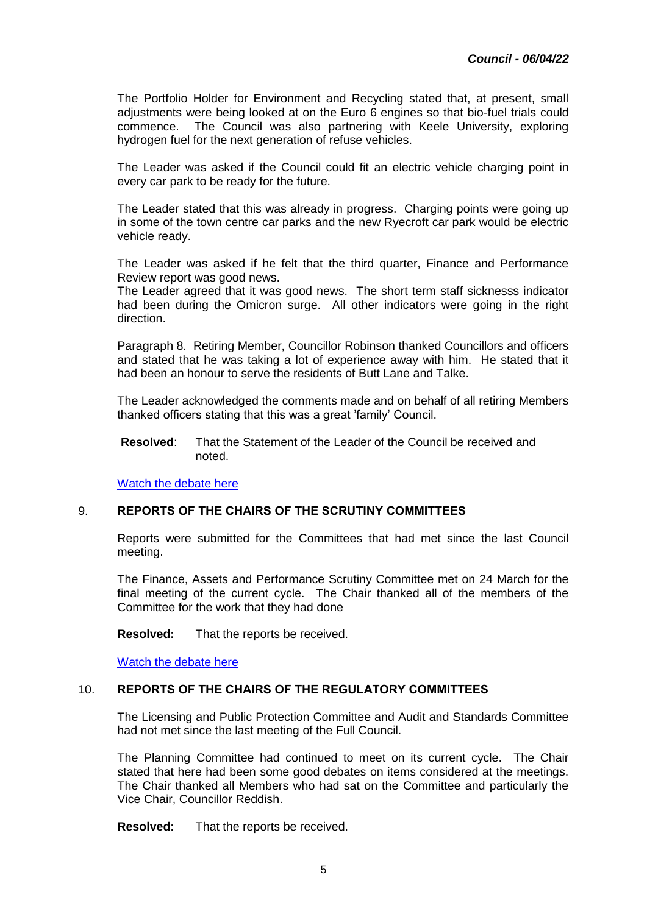The Portfolio Holder for Environment and Recycling stated that, at present, small adjustments were being looked at on the Euro 6 engines so that bio-fuel trials could commence. The Council was also partnering with Keele University, exploring hydrogen fuel for the next generation of refuse vehicles.

The Leader was asked if the Council could fit an electric vehicle charging point in every car park to be ready for the future.

The Leader stated that this was already in progress. Charging points were going up in some of the town centre car parks and the new Ryecroft car park would be electric vehicle ready.

The Leader was asked if he felt that the third quarter, Finance and Performance Review report was good news.

The Leader agreed that it was good news. The short term staff sicknesss indicator had been during the Omicron surge. All other indicators were going in the right direction.

Paragraph 8. Retiring Member, Councillor Robinson thanked Councillors and officers and stated that he was taking a lot of experience away with him. He stated that it had been an honour to serve the residents of Butt Lane and Talke.

The Leader acknowledged the comments made and on behalf of all retiring Members thanked officers stating that this was a great 'family' Council.

**Resolved**: That the Statement of the Leader of the Council be received and noted.

[Watch the debate here](https://youtu.be/surtWw4LyLs?t=4119)

## 9. **REPORTS OF THE CHAIRS OF THE SCRUTINY COMMITTEES**

Reports were submitted for the Committees that had met since the last Council meeting.

The Finance, Assets and Performance Scrutiny Committee met on 24 March for the final meeting of the current cycle. The Chair thanked all of the members of the Committee for the work that they had done

**Resolved:** That the reports be received.

[Watch the debate here](https://youtu.be/surtWw4LyLs?t=7539)

#### 10. **REPORTS OF THE CHAIRS OF THE REGULATORY COMMITTEES**

The Licensing and Public Protection Committee and Audit and Standards Committee had not met since the last meeting of the Full Council.

The Planning Committee had continued to meet on its current cycle. The Chair stated that here had been some good debates on items considered at the meetings. The Chair thanked all Members who had sat on the Committee and particularly the Vice Chair, Councillor Reddish.

**Resolved:** That the reports be received.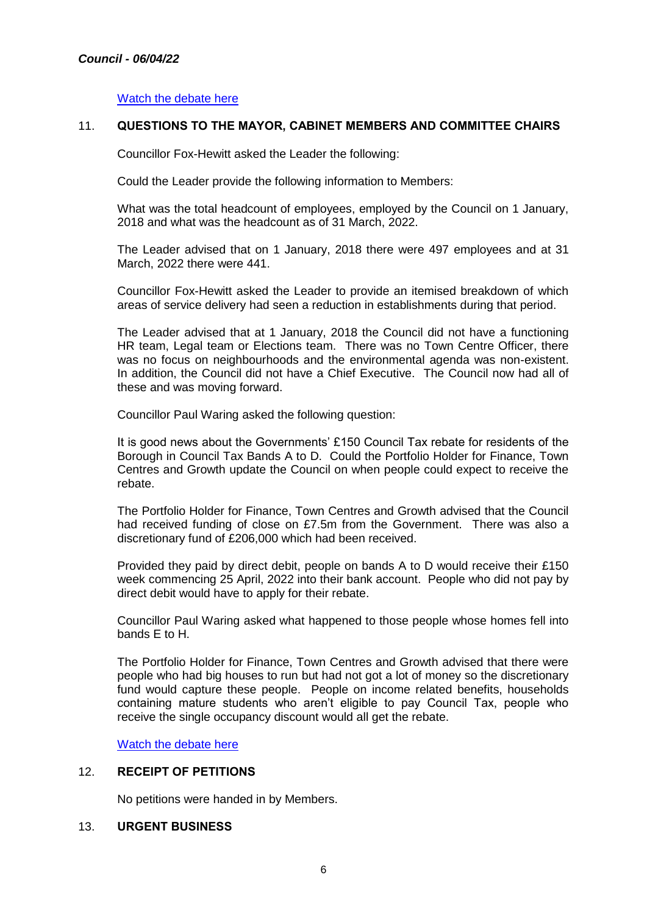[Watch the debate here](https://youtu.be/surtWw4LyLs?t=7633)

## 11. **QUESTIONS TO THE MAYOR, CABINET MEMBERS AND COMMITTEE CHAIRS**

Councillor Fox-Hewitt asked the Leader the following:

Could the Leader provide the following information to Members:

What was the total headcount of employees, employed by the Council on 1 January, 2018 and what was the headcount as of 31 March, 2022.

The Leader advised that on 1 January, 2018 there were 497 employees and at 31 March, 2022 there were 441.

Councillor Fox-Hewitt asked the Leader to provide an itemised breakdown of which areas of service delivery had seen a reduction in establishments during that period.

The Leader advised that at 1 January, 2018 the Council did not have a functioning HR team, Legal team or Elections team. There was no Town Centre Officer, there was no focus on neighbourhoods and the environmental agenda was non-existent. In addition, the Council did not have a Chief Executive. The Council now had all of these and was moving forward.

Councillor Paul Waring asked the following question:

It is good news about the Governments' £150 Council Tax rebate for residents of the Borough in Council Tax Bands A to D. Could the Portfolio Holder for Finance, Town Centres and Growth update the Council on when people could expect to receive the rebate.

The Portfolio Holder for Finance, Town Centres and Growth advised that the Council had received funding of close on £7.5m from the Government. There was also a discretionary fund of £206,000 which had been received.

Provided they paid by direct debit, people on bands A to D would receive their £150 week commencing 25 April, 2022 into their bank account. People who did not pay by direct debit would have to apply for their rebate.

Councillor Paul Waring asked what happened to those people whose homes fell into bands E to H.

The Portfolio Holder for Finance, Town Centres and Growth advised that there were people who had big houses to run but had not got a lot of money so the discretionary fund would capture these people. People on income related benefits, households containing mature students who aren't eligible to pay Council Tax, people who receive the single occupancy discount would all get the rebate.

[Watch the debate here](https://youtu.be/surtWw4LyLs?t=7786)

## 12. **RECEIPT OF PETITIONS**

No petitions were handed in by Members.

## 13. **URGENT BUSINESS**